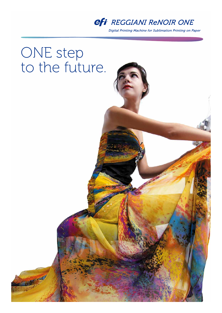

Digital Printing Machine for Sublimation Printing on Paper

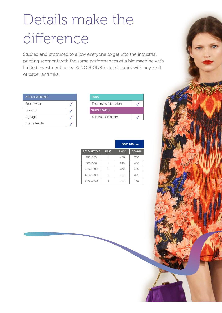# Details make the difference

Studied and produced to allow everyone to get into the industrial printing segment with the same performances of a big machine with limited investment costs, ReNOIR ONE is able to print with any kind of paper and inks.

| <b>APPLICATIONS</b> |  |
|---------------------|--|
| Sportswear          |  |
| Fashion             |  |
| Signage             |  |
| Home textile        |  |

| <b>INKS</b>          |  |
|----------------------|--|
| Disperse sublimation |  |
| <b>SUBSTRATES</b>    |  |
| Sublimation paper    |  |

|                   |                | <b>ONE 180 cm</b> |       |
|-------------------|----------------|-------------------|-------|
| <b>RESOLUTION</b> | <b>PASS</b>    | LM/H              | SQM/H |
| 150x600           | 1              | 400               | 700   |
| 300x600           | 1              | 240               | 400   |
| 300x1200          | $\overline{c}$ | 230               | 300   |
| 600x1200          | 2              | 110               | 200   |
| 600x2400          | 4              | 110               | 150   |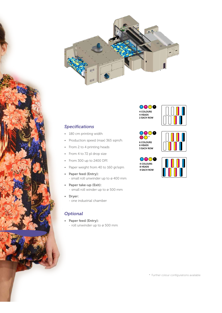

## *Specifications*

- 180 cm printing width
- Production speed (max) 365 sqm/h
- From 2 to 4 printing heads
- From 4 to 72 pl drop size
- From 300 up to 2400 DPI
- Paper weight from 40 to 160 gr/sqm
- Paper feed (Entry): - small roll unwinder up to ø 400 mm
- Paper take-up (Exit): - small roll winder up to ø 500 mm
- Dryer: - one industrial chamber

## *Optional*

• Paper feed (Entry): - roll unwinder up to ø 500 mm